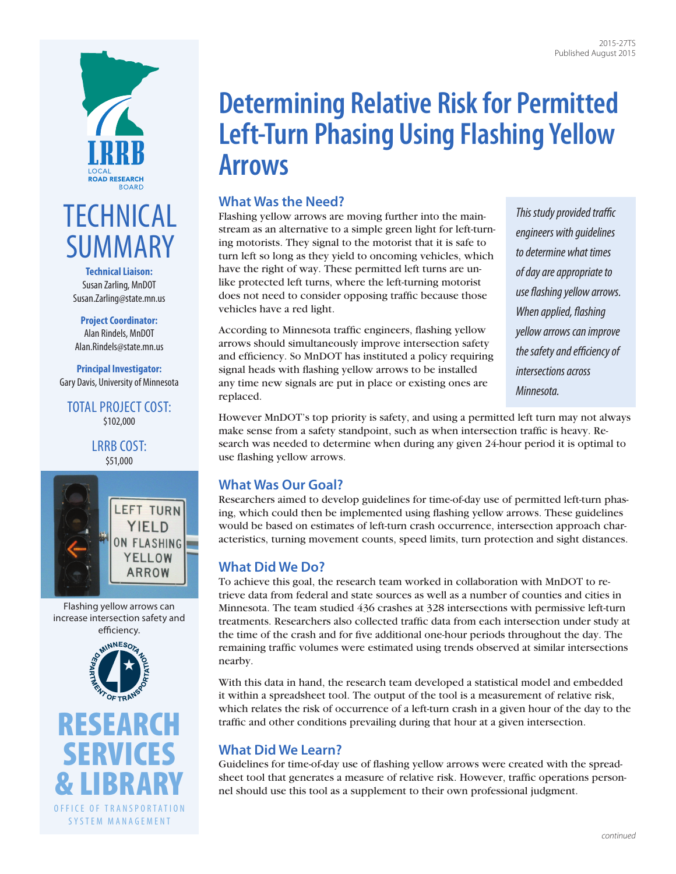

# **TECHNICAL** SUMMARY

**Technical Liaison:** Susan Zarling, MnDOT [Susan.Zarling@state.mn.us](mailto:Susan.Zarling@state.mn.us)

**Project Coordinator:** Alan Rindels, MnDOT [Alan.Rindels@state.mn.us](mailto:Alan.Rindels@state.mn.us)

**Principal Investigator:** Gary Davis, University of Minnesota

TOTAL PROJECT COST: \$102,000

> LRRB COST: \$51,000



Flashing yellow arrows can increase intersection safety and efficiency.



[RESEARCH](http://www.research.dot.state.mn.us) [SERVICES](http://www.research.dot.state.mn.us) [& LIBRARY](http://www.research.dot.state.mn.us) OFFICE OF TRANSPORTATION SYSTEM MANAGEMENT

# **Determining Relative Risk for Permitted Left-Turn Phasing Using Flashing Yellow Arrows**

# **What Was the Need?**

Flashing yellow arrows are moving further into the mainstream as an alternative to a simple green light for left-turning motorists. They signal to the motorist that it is safe to turn left so long as they yield to oncoming vehicles, which have the right of way. These permitted left turns are unlike protected left turns, where the left-turning motorist does not need to consider opposing traffic because those vehicles have a red light.

According to Minnesota traffic engineers, flashing yellow arrows should simultaneously improve intersection safety and efficiency. So MnDOT has instituted a policy requiring signal heads with flashing yellow arrows to be installed any time new signals are put in place or existing ones are replaced.

*This study provided traffic engineers with guidelines to determine what times of day are appropriate to use flashing yellow arrows. When applied, flashing yellow arrows can improve the safety and efficiency of intersections across Minnesota.* 

However MnDOT's top priority is safety, and using a permitted left turn may not always make sense from a safety standpoint, such as when intersection traffic is heavy. Research was needed to determine when during any given 24-hour period it is optimal to use flashing yellow arrows.

## **What Was Our Goal?**

Researchers aimed to develop guidelines for time-of-day use of permitted left-turn phasing, which could then be implemented using flashing yellow arrows. These guidelines would be based on estimates of left-turn crash occurrence, intersection approach characteristics, turning movement counts, speed limits, turn protection and sight distances.

## **What Did We Do?**

To achieve this goal, the research team worked in collaboration with MnDOT to retrieve data from federal and state sources as well as a number of counties and cities in Minnesota. The team studied 436 crashes at 328 intersections with permissive left-turn treatments. Researchers also collected traffic data from each intersection under study at the time of the crash and for five additional one-hour periods throughout the day. The remaining traffic volumes were estimated using trends observed at similar intersections nearby.

With this data in hand, the research team developed a statistical model and embedded it within a spreadsheet tool. The output of the tool is a measurement of relative risk, which relates the risk of occurrence of a left-turn crash in a given hour of the day to the traffic and other conditions prevailing during that hour at a given intersection.

## **What Did We Learn?**

Guidelines for time-of-day use of flashing yellow arrows were created with the spreadsheet tool that generates a measure of relative risk. However, traffic operations personnel should use this tool as a supplement to their own professional judgment.